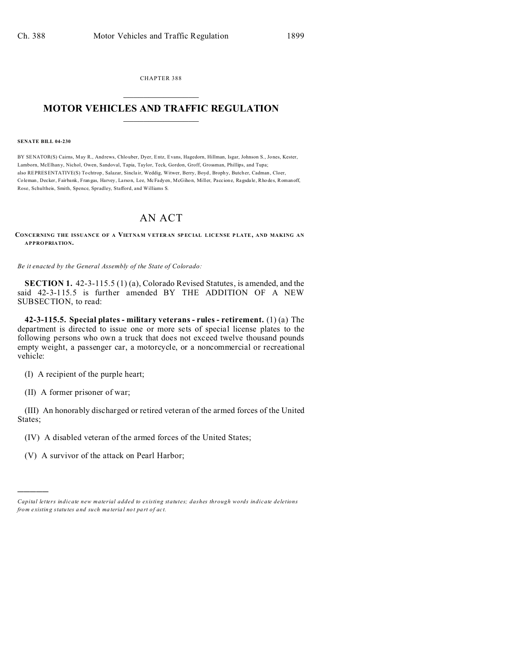CHAPTER 388  $\overline{\phantom{a}}$  , where  $\overline{\phantom{a}}$ 

## **MOTOR VEHICLES AND TRAFFIC REGULATION**  $\frac{1}{2}$  ,  $\frac{1}{2}$  ,  $\frac{1}{2}$  ,  $\frac{1}{2}$  ,  $\frac{1}{2}$  ,  $\frac{1}{2}$  ,  $\frac{1}{2}$

## **SENATE BILL 04-230**

BY SENATOR(S) Cairns, May R., Andrews, Chlouber, Dyer, Entz, Evans, Hagedorn, Hillman, Isgar, Johnson S., Jones, Kester, Lamborn, McElhany, Nichol, Owen, Sandoval, Tapia, Taylor, Teck, Gordon, Groff, Grossman, Phillips, and Tupa; also REPRESENTATIVE(S) Tochtrop , Salazar, Sincla ir, Weddig, Witwer, Berry, Boyd, Broph y, Butcher, Cadman, Cloer, Coleman , Decker, Fairbank, Fran gas, Harvey, La rson, Lee, McFadyen, McGiho n, Miller, Paccion e, Ragsda le, Rho des, Romanoff, Rose, Schultheis, Smith, Spence, Spradley, Stafford, and Williams S.

## AN ACT

## **CONCERNING THE ISSUANCE OF A VIETNAM V ETER AN SP EC IAL LICENSE PLATE, AND MAKING AN APPROPRIATION.**

*Be it enacted by the General Assembly of the State of Colorado:*

**SECTION 1.** 42-3-115.5 (1) (a), Colorado Revised Statutes, is amended, and the said 42-3-115.5 is further amended BY THE ADDITION OF A NEW SUBSECTION, to read:

**42-3-115.5. Special plates - military veterans - rules - retirement.** (1) (a) The department is directed to issue one or more sets of special license plates to the following persons who own a truck that does not exceed twelve thousand pounds empty weight, a passenger car, a motorcycle, or a noncommercial or recreational vehicle:

(I) A recipient of the purple heart;

(II) A former prisoner of war;

)))))

(III) An honorably discharged or retired veteran of the armed forces of the United States;

- (IV) A disabled veteran of the armed forces of the United States;
- (V) A survivor of the attack on Pearl Harbor;

*Capital letters indicate new material added to existing statutes; dashes through words indicate deletions from e xistin g statu tes a nd such ma teria l no t pa rt of ac t.*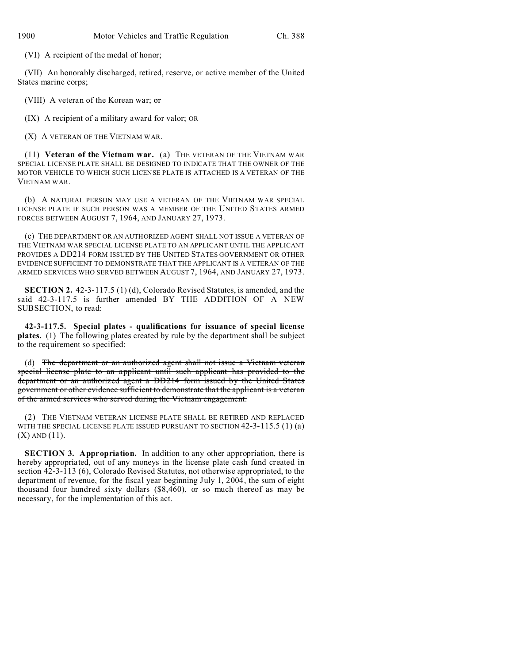(VI) A recipient of the medal of honor;

(VII) An honorably discharged, retired, reserve, or active member of the United States marine corps;

(VIII) A veteran of the Korean war;  $\sigma$ r

(IX) A recipient of a military award for valor; OR

(X) A VETERAN OF THE VIETNAM WAR.

(11) **Veteran of the Vietnam war.** (a) THE VETERAN OF THE VIETNAM WAR SPECIAL LICENSE PLATE SHALL BE DESIGNED TO INDICATE THAT THE OWNER OF THE MOTOR VEHICLE TO WHICH SUCH LICENSE PLATE IS ATTACHED IS A VETERAN OF THE VIETNAM WAR.

(b) A NATURAL PERSON MAY USE A VETERAN OF THE VIETNAM WAR SPECIAL LICENSE PLATE IF SUCH PERSON WAS A MEMBER OF THE UNITED STATES ARMED FORCES BETWEEN AUGUST 7, 1964, AND JANUARY 27, 1973.

(c) THE DEPARTMENT OR AN AUTHORIZED AGENT SHALL NOT ISSUE A VETERAN OF THE VIETNAM WAR SPECIAL LICENSE PLATE TO AN APPLICANT UNTIL THE APPLICANT PROVIDES A DD214 FORM ISSUED BY THE UNITED STATES GOVERNMENT OR OTHER EVIDENCE SUFFICIENT TO DEMONSTRATE THAT THE APPLICANT IS A VETERAN OF THE ARMED SERVICES WHO SERVED BETWEEN AUGUST 7, 1964, AND JANUARY 27, 1973.

**SECTION 2.** 42-3-117.5 (1) (d), Colorado Revised Statutes, is amended, and the said 42-3-117.5 is further amended BY THE ADDITION OF A NEW SUBSECTION, to read:

**42-3-117.5. Special plates - qualifications for issuance of special license plates.** (1) The following plates created by rule by the department shall be subject to the requirement so specified:

(d) The department or an authorized agent shall not issue a Vietnam veteran special license plate to an applicant until such applicant has provided to the department or an authorized agent a DD214 form issued by the United States government or other evidence sufficient to demonstrate that the applicant is a veteran of the armed services who served during the Vietnam engagement.

(2) THE VIETNAM VETERAN LICENSE PLATE SHALL BE RETIRED AND REPLACED WITH THE SPECIAL LICENSE PLATE ISSUED PURSUANT TO SECTION  $42-3-115.5$  (1) (a)  $(X)$  AND  $(11)$ .

**SECTION 3. Appropriation.** In addition to any other appropriation, there is hereby appropriated, out of any moneys in the license plate cash fund created in section 42-3-113 (6), Colorado Revised Statutes, not otherwise appropriated, to the department of revenue, for the fiscal year beginning July 1, 2004, the sum of eight thousand four hundred sixty dollars (\$8,460), or so much thereof as may be necessary, for the implementation of this act.